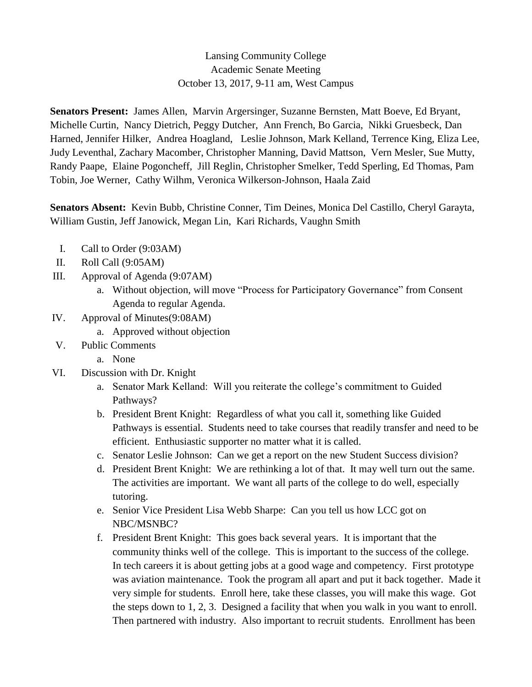## Lansing Community College Academic Senate Meeting October 13, 2017, 9-11 am, West Campus

**Senators Present:** James Allen, Marvin Argersinger, Suzanne Bernsten, Matt Boeve, Ed Bryant, Michelle Curtin, Nancy Dietrich, Peggy Dutcher, Ann French, Bo Garcia, Nikki Gruesbeck, Dan Harned, Jennifer Hilker, Andrea Hoagland, Leslie Johnson, Mark Kelland, Terrence King, Eliza Lee, Judy Leventhal, Zachary Macomber, Christopher Manning, David Mattson, Vern Mesler, Sue Mutty, Randy Paape, Elaine Pogoncheff, Jill Reglin, Christopher Smelker, Tedd Sperling, Ed Thomas, Pam Tobin, Joe Werner, Cathy Wilhm, Veronica Wilkerson-Johnson, Haala Zaid

**Senators Absent:** Kevin Bubb, Christine Conner, Tim Deines, Monica Del Castillo, Cheryl Garayta, William Gustin, Jeff Janowick, Megan Lin, Kari Richards, Vaughn Smith

- I. Call to Order (9:03AM)
- II. Roll Call (9:05AM)
- III. Approval of Agenda (9:07AM)
	- a. Without objection, will move "Process for Participatory Governance" from Consent Agenda to regular Agenda.
- IV. Approval of Minutes(9:08AM)
	- a. Approved without objection
- V. Public Comments
	- a. None
- VI. Discussion with Dr. Knight
	- a. Senator Mark Kelland: Will you reiterate the college's commitment to Guided Pathways?
	- b. President Brent Knight: Regardless of what you call it, something like Guided Pathways is essential. Students need to take courses that readily transfer and need to be efficient. Enthusiastic supporter no matter what it is called.
	- c. Senator Leslie Johnson: Can we get a report on the new Student Success division?
	- d. President Brent Knight: We are rethinking a lot of that. It may well turn out the same. The activities are important. We want all parts of the college to do well, especially tutoring.
	- e. Senior Vice President Lisa Webb Sharpe: Can you tell us how LCC got on NBC/MSNBC?
	- f. President Brent Knight: This goes back several years. It is important that the community thinks well of the college. This is important to the success of the college. In tech careers it is about getting jobs at a good wage and competency. First prototype was aviation maintenance. Took the program all apart and put it back together. Made it very simple for students. Enroll here, take these classes, you will make this wage. Got the steps down to 1, 2, 3. Designed a facility that when you walk in you want to enroll. Then partnered with industry. Also important to recruit students. Enrollment has been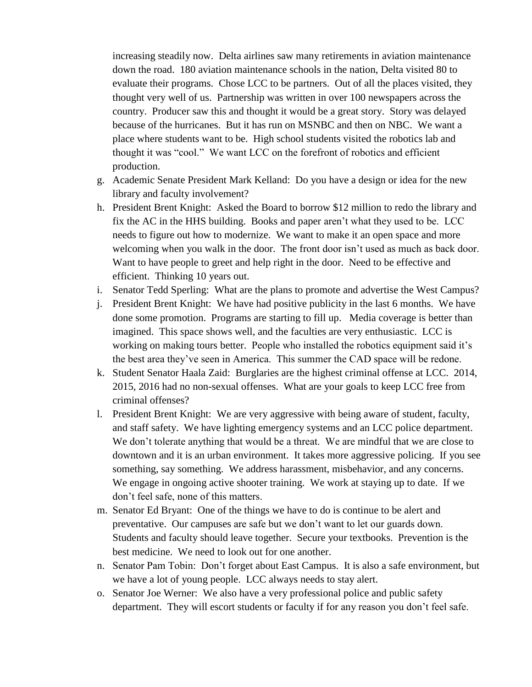increasing steadily now. Delta airlines saw many retirements in aviation maintenance down the road. 180 aviation maintenance schools in the nation, Delta visited 80 to evaluate their programs. Chose LCC to be partners. Out of all the places visited, they thought very well of us. Partnership was written in over 100 newspapers across the country. Producer saw this and thought it would be a great story. Story was delayed because of the hurricanes. But it has run on MSNBC and then on NBC. We want a place where students want to be. High school students visited the robotics lab and thought it was "cool." We want LCC on the forefront of robotics and efficient production.

- g. Academic Senate President Mark Kelland: Do you have a design or idea for the new library and faculty involvement?
- h. President Brent Knight: Asked the Board to borrow \$12 million to redo the library and fix the AC in the HHS building. Books and paper aren't what they used to be. LCC needs to figure out how to modernize. We want to make it an open space and more welcoming when you walk in the door. The front door isn't used as much as back door. Want to have people to greet and help right in the door. Need to be effective and efficient. Thinking 10 years out.
- i. Senator Tedd Sperling: What are the plans to promote and advertise the West Campus?
- j. President Brent Knight: We have had positive publicity in the last 6 months. We have done some promotion. Programs are starting to fill up. Media coverage is better than imagined. This space shows well, and the faculties are very enthusiastic. LCC is working on making tours better. People who installed the robotics equipment said it's the best area they've seen in America. This summer the CAD space will be redone.
- k. Student Senator Haala Zaid: Burglaries are the highest criminal offense at LCC. 2014, 2015, 2016 had no non-sexual offenses. What are your goals to keep LCC free from criminal offenses?
- l. President Brent Knight: We are very aggressive with being aware of student, faculty, and staff safety. We have lighting emergency systems and an LCC police department. We don't tolerate anything that would be a threat. We are mindful that we are close to downtown and it is an urban environment. It takes more aggressive policing. If you see something, say something. We address harassment, misbehavior, and any concerns. We engage in ongoing active shooter training. We work at staying up to date. If we don't feel safe, none of this matters.
- m. Senator Ed Bryant: One of the things we have to do is continue to be alert and preventative. Our campuses are safe but we don't want to let our guards down. Students and faculty should leave together. Secure your textbooks. Prevention is the best medicine. We need to look out for one another.
- n. Senator Pam Tobin: Don't forget about East Campus. It is also a safe environment, but we have a lot of young people. LCC always needs to stay alert.
- o. Senator Joe Werner: We also have a very professional police and public safety department. They will escort students or faculty if for any reason you don't feel safe.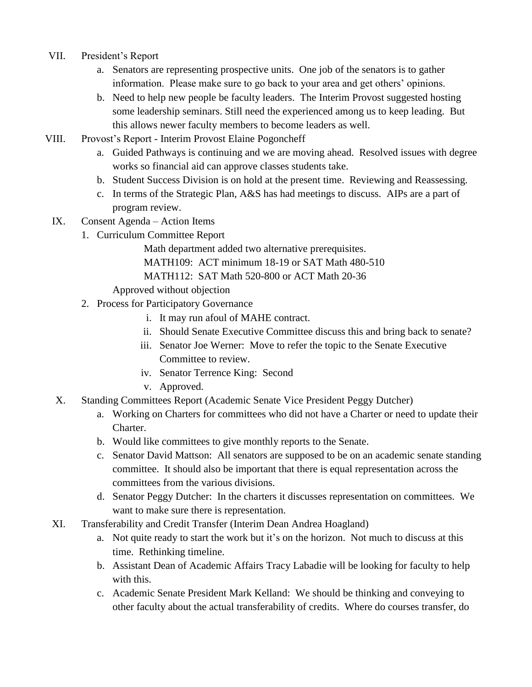- VII. President's Report
	- a. Senators are representing prospective units. One job of the senators is to gather information. Please make sure to go back to your area and get others' opinions.
	- b. Need to help new people be faculty leaders. The Interim Provost suggested hosting some leadership seminars. Still need the experienced among us to keep leading. But this allows newer faculty members to become leaders as well.
- VIII. Provost's Report Interim Provost Elaine Pogoncheff
	- a. Guided Pathways is continuing and we are moving ahead. Resolved issues with degree works so financial aid can approve classes students take.
	- b. Student Success Division is on hold at the present time. Reviewing and Reassessing.
	- c. In terms of the Strategic Plan, A&S has had meetings to discuss. AIPs are a part of program review.
	- IX. Consent Agenda Action Items
		- 1. Curriculum Committee Report

Math department added two alternative prerequisites. MATH109: ACT minimum 18-19 or SAT Math 480-510 MATH112: SAT Math 520-800 or ACT Math 20-36

Approved without objection

- 2. Process for Participatory Governance
	- i. It may run afoul of MAHE contract.
	- ii. Should Senate Executive Committee discuss this and bring back to senate?
	- iii. Senator Joe Werner: Move to refer the topic to the Senate Executive Committee to review.
	- iv. Senator Terrence King: Second
	- v. Approved.
- X. Standing Committees Report (Academic Senate Vice President Peggy Dutcher)
	- a. Working on Charters for committees who did not have a Charter or need to update their Charter.
	- b. Would like committees to give monthly reports to the Senate.
	- c. Senator David Mattson: All senators are supposed to be on an academic senate standing committee. It should also be important that there is equal representation across the committees from the various divisions.
	- d. Senator Peggy Dutcher: In the charters it discusses representation on committees. We want to make sure there is representation.
- XI. Transferability and Credit Transfer (Interim Dean Andrea Hoagland)
	- a. Not quite ready to start the work but it's on the horizon. Not much to discuss at this time. Rethinking timeline.
	- b. Assistant Dean of Academic Affairs Tracy Labadie will be looking for faculty to help with this.
	- c. Academic Senate President Mark Kelland: We should be thinking and conveying to other faculty about the actual transferability of credits. Where do courses transfer, do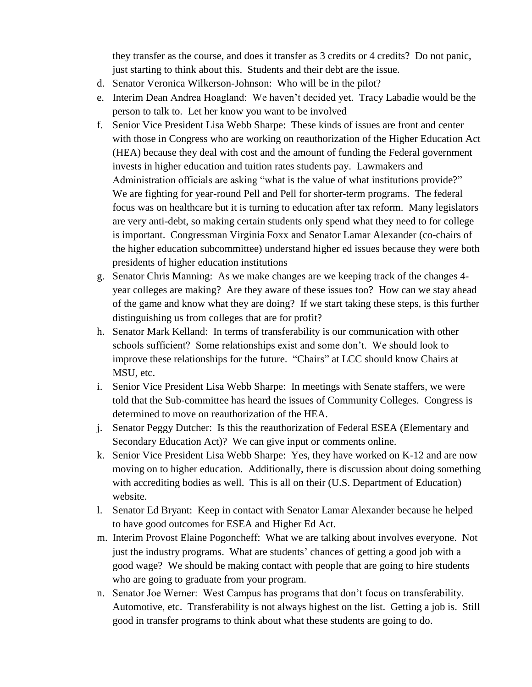they transfer as the course, and does it transfer as 3 credits or 4 credits? Do not panic, just starting to think about this. Students and their debt are the issue.

- d. Senator Veronica Wilkerson-Johnson: Who will be in the pilot?
- e. Interim Dean Andrea Hoagland: We haven't decided yet. Tracy Labadie would be the person to talk to. Let her know you want to be involved
- f. Senior Vice President Lisa Webb Sharpe: These kinds of issues are front and center with those in Congress who are working on reauthorization of the Higher Education Act (HEA) because they deal with cost and the amount of funding the Federal government invests in higher education and tuition rates students pay. Lawmakers and Administration officials are asking "what is the value of what institutions provide?" We are fighting for year-round Pell and Pell for shorter-term programs. The federal focus was on healthcare but it is turning to education after tax reform. Many legislators are very anti-debt, so making certain students only spend what they need to for college is important. Congressman Virginia Foxx and Senator Lamar Alexander (co-chairs of the higher education subcommittee) understand higher ed issues because they were both presidents of higher education institutions
- g. Senator Chris Manning: As we make changes are we keeping track of the changes 4 year colleges are making? Are they aware of these issues too? How can we stay ahead of the game and know what they are doing? If we start taking these steps, is this further distinguishing us from colleges that are for profit?
- h. Senator Mark Kelland: In terms of transferability is our communication with other schools sufficient? Some relationships exist and some don't. We should look to improve these relationships for the future. "Chairs" at LCC should know Chairs at MSU, etc.
- i. Senior Vice President Lisa Webb Sharpe: In meetings with Senate staffers, we were told that the Sub-committee has heard the issues of Community Colleges. Congress is determined to move on reauthorization of the HEA.
- j. Senator Peggy Dutcher: Is this the reauthorization of Federal ESEA (Elementary and Secondary Education Act)? We can give input or comments online.
- k. Senior Vice President Lisa Webb Sharpe: Yes, they have worked on K-12 and are now moving on to higher education. Additionally, there is discussion about doing something with accrediting bodies as well. This is all on their (U.S. Department of Education) website.
- l. Senator Ed Bryant: Keep in contact with Senator Lamar Alexander because he helped to have good outcomes for ESEA and Higher Ed Act.
- m. Interim Provost Elaine Pogoncheff: What we are talking about involves everyone. Not just the industry programs. What are students' chances of getting a good job with a good wage? We should be making contact with people that are going to hire students who are going to graduate from your program.
- n. Senator Joe Werner: West Campus has programs that don't focus on transferability. Automotive, etc. Transferability is not always highest on the list. Getting a job is. Still good in transfer programs to think about what these students are going to do.